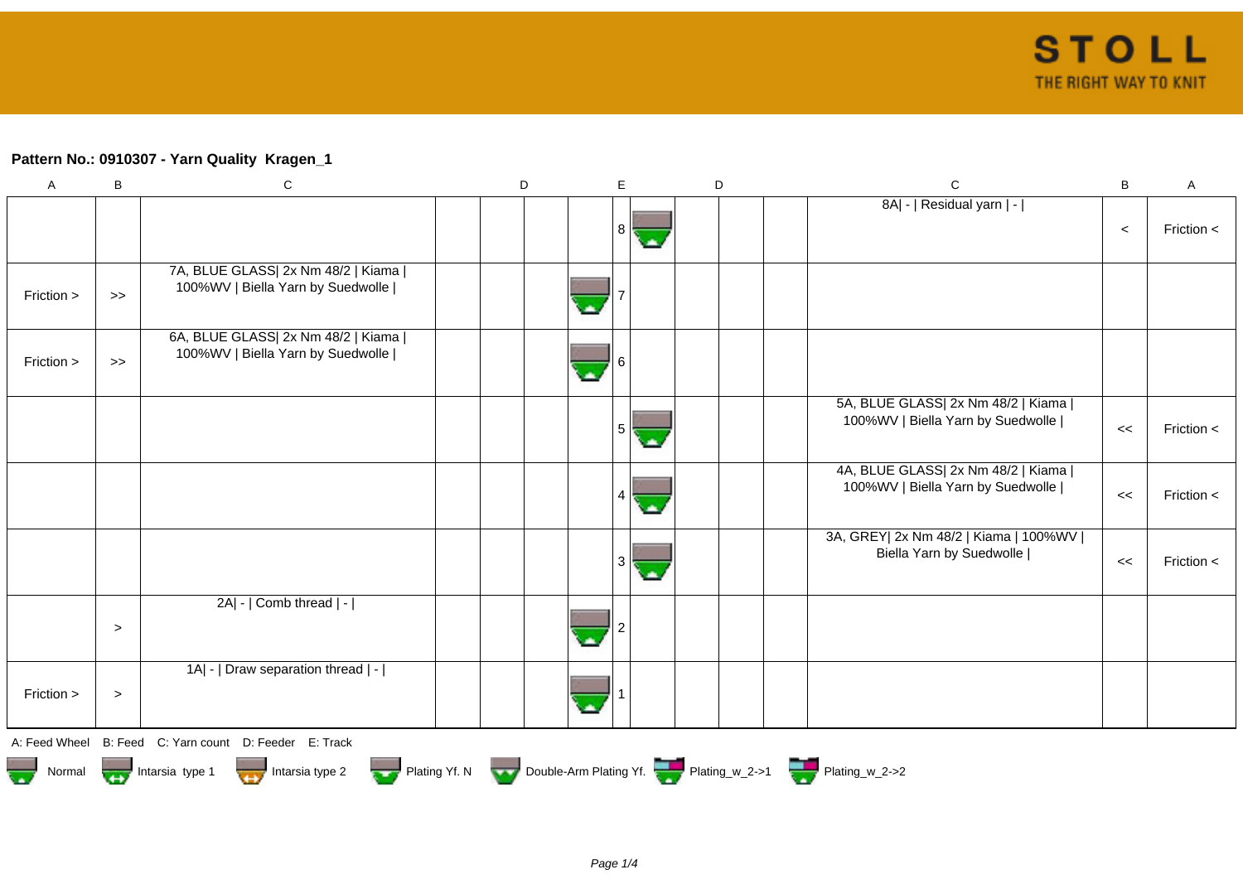## **Pattern No.: 0910307 - Yarn Quality Kragen\_1**

| A          | B      | $\mathbf C$                                                                                               | D |                  | E      | D | $\mathbf C$                                                               | B     | $\mathsf A$    |
|------------|--------|-----------------------------------------------------------------------------------------------------------|---|------------------|--------|---|---------------------------------------------------------------------------|-------|----------------|
|            |        |                                                                                                           |   |                  |        |   | 8A  -   Residual yarn   -                                                 | $\,<$ | Friction $\lt$ |
|            |        |                                                                                                           |   |                  |        |   |                                                                           |       |                |
| Friction > | $\gt$  | 7A, BLUE GLASS  2x Nm 48/2   Kiama  <br>100%WV   Biella Yarn by Suedwolle                                 |   |                  |        |   |                                                                           |       |                |
|            |        | 6A, BLUE GLASS  2x Nm 48/2   Kiama                                                                        |   |                  |        |   |                                                                           |       |                |
| Friction > | $\gt$  | 100%WV   Biella Yarn by Suedwolle                                                                         |   | $\blacktriangle$ |        |   |                                                                           |       |                |
|            |        |                                                                                                           |   |                  |        |   | 5A, BLUE GLASS  2x Nm 48/2   Kiama                                        |       |                |
|            |        |                                                                                                           |   |                  | 5<br>◓ |   | 100%WV   Biella Yarn by Suedwolle                                         | <<    | Friction $\lt$ |
|            |        |                                                                                                           |   |                  |        |   | 4A, BLUE GLASS  2x Nm 48/2   Kiama  <br>100%WV   Biella Yarn by Suedwolle |       |                |
|            |        |                                                                                                           |   |                  |        |   |                                                                           | <<    | Friction $\lt$ |
|            |        |                                                                                                           |   |                  | 3      |   | 3A, GREY  2x Nm 48/2   Kiama   100%WV  <br>Biella Yarn by Suedwolle       | <<    | Friction $\lt$ |
|            |        |                                                                                                           |   |                  |        |   |                                                                           |       |                |
|            |        | 2A  -   Comb thread   -                                                                                   |   |                  |        |   |                                                                           |       |                |
|            | $\,>$  |                                                                                                           |   |                  |        |   |                                                                           |       |                |
|            |        | 1A  -   Draw separation thread   -                                                                        |   |                  |        |   |                                                                           |       |                |
| Friction > | $\, >$ |                                                                                                           |   |                  |        |   |                                                                           |       |                |
|            |        | A: Feed Wheel B: Feed C: Yarn count D: Feeder E: Track                                                    |   |                  |        |   |                                                                           |       |                |
|            |        | Normal More Intarsia type 1 Intarsia type 2 Plating Yf. N Double-Arm Plating Yf. N Double-Arm Plating Yf. |   |                  |        |   |                                                                           |       |                |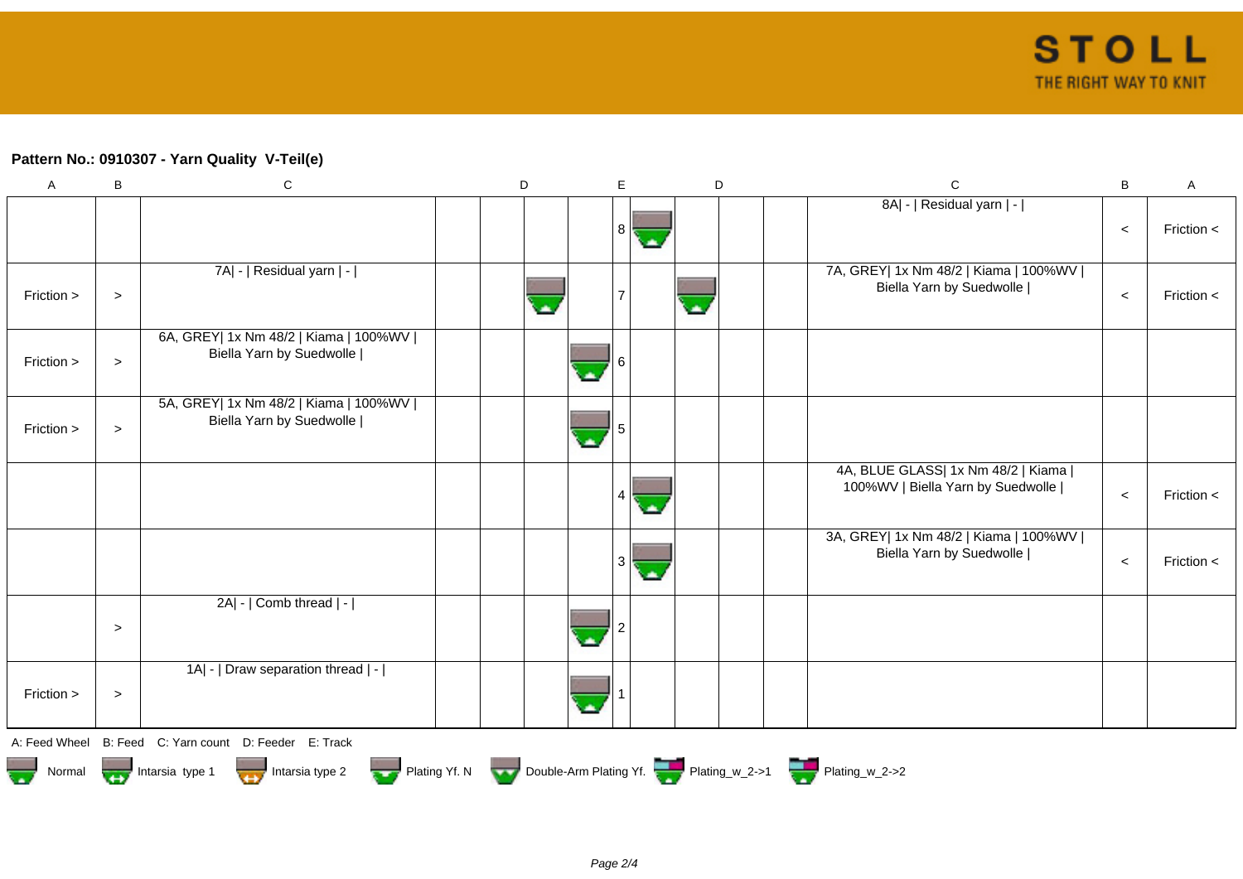## **Pattern No.: 0910307 - Yarn Quality V-Teil(e)**

| $\boldsymbol{\mathsf{A}}$ | B      | $\mathbf C$                                                         | D | E |          | D | $\mathbf C$                                                               | B     | Α              |
|---------------------------|--------|---------------------------------------------------------------------|---|---|----------|---|---------------------------------------------------------------------------|-------|----------------|
|                           |        |                                                                     |   | 8 | <b>A</b> |   | 8A  -   Residual yarn   -                                                 | $\,<$ | Friction $\lt$ |
| Friction >                | $\, >$ | 7A  -   Residual yarn   -                                           |   |   |          |   | 7A, GREY  1x Nm 48/2   Kiama   100%WV  <br>Biella Yarn by Suedwolle       | $\,<$ | Friction $\lt$ |
| Friction >                | $\,>$  | 6A, GREY  1x Nm 48/2   Kiama   100%WV  <br>Biella Yarn by Suedwolle |   |   |          |   |                                                                           |       |                |
| Friction >                | $\, >$ | 5A, GREY  1x Nm 48/2   Kiama   100%WV  <br>Biella Yarn by Suedwolle |   |   |          |   |                                                                           |       |                |
|                           |        |                                                                     |   | 4 | olis,    |   | 4A, BLUE GLASS  1x Nm 48/2   Kiama  <br>100%WV   Biella Yarn by Suedwolle | $\,<$ | Friction <     |
|                           |        |                                                                     |   | 3 | o.       |   | 3A, GREY  1x Nm 48/2   Kiama   100%WV  <br>Biella Yarn by Suedwolle       | $\,<$ | Friction <     |
|                           | $\geq$ | 2A  -   Comb thread   -                                             |   |   |          |   |                                                                           |       |                |
| Friction >                | $\geq$ | 1A  -   Draw separation thread   -                                  |   |   |          |   |                                                                           |       |                |
|                           |        | A: Feed Wheel B: Feed C: Yarn count D: Feeder E: Track              |   |   |          |   |                                                                           |       |                |
| Normal                    |        | Intarsia type 1 Intarsia type 2                                     |   |   |          |   | Plating Yf. N Double-Arm Plating Yf. Plating_w_2->1 Plating_w_2->2        |       |                |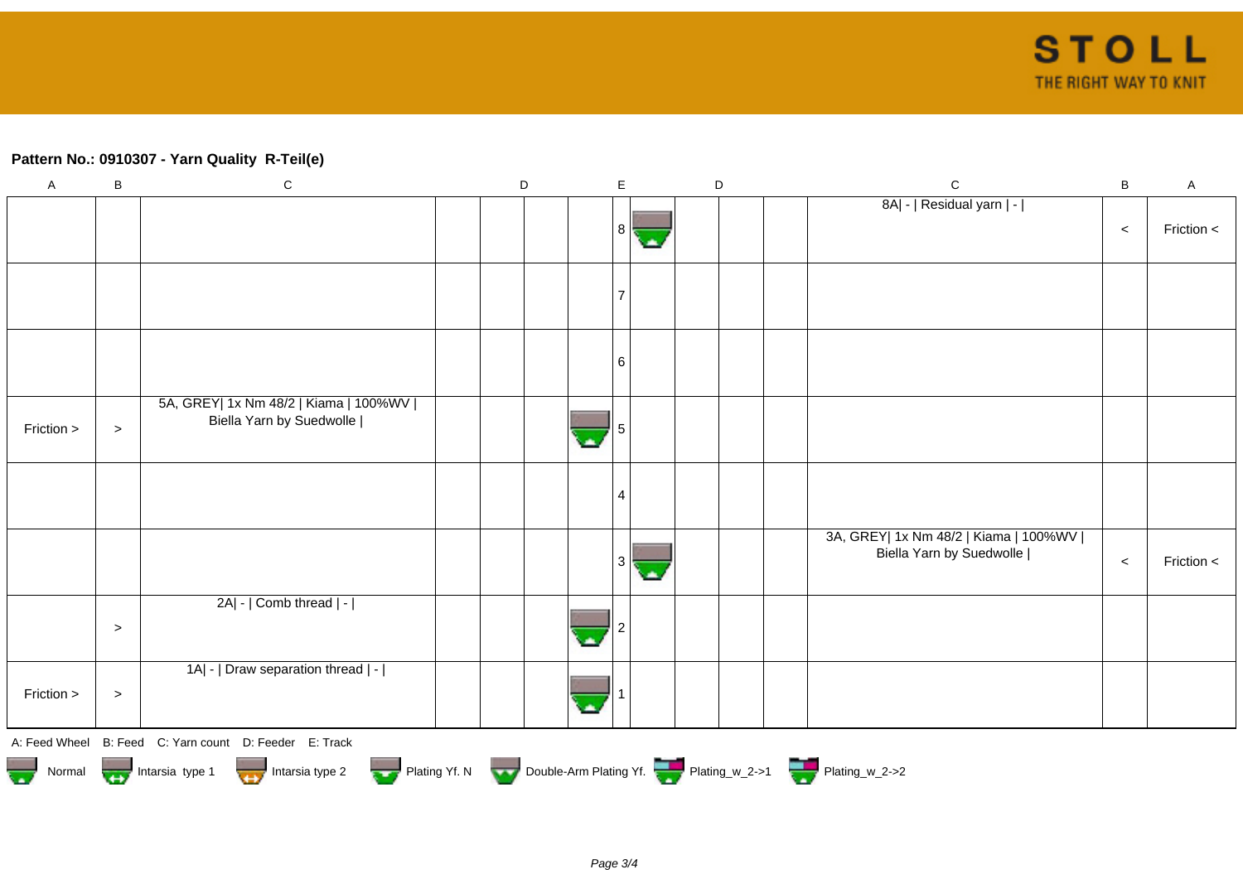## **Pattern No.: 0910307 - Yarn Quality R-Teil(e)**

| $\boldsymbol{\mathsf{A}}$ | B                                                                                | ${\bf C}$                                                           |  | $\mathsf D$ |  |   | E  |    |  | D |  | $\mathsf C$                                                         | $\, {\bf B}$ | $\mathsf{A}$ |
|---------------------------|----------------------------------------------------------------------------------|---------------------------------------------------------------------|--|-------------|--|---|----|----|--|---|--|---------------------------------------------------------------------|--------------|--------------|
|                           |                                                                                  |                                                                     |  |             |  |   | 81 | С. |  |   |  | 8A  -   Residual yarn   -                                           | $\prec$      | Friction <   |
|                           |                                                                                  |                                                                     |  |             |  |   |    |    |  |   |  |                                                                     |              |              |
|                           |                                                                                  |                                                                     |  |             |  |   | 6  |    |  |   |  |                                                                     |              |              |
| Friction >                | $\, >$                                                                           | 5A, GREY  1x Nm 48/2   Kiama   100%WV  <br>Biella Yarn by Suedwolle |  |             |  | ٠ |    |    |  |   |  |                                                                     |              |              |
|                           |                                                                                  |                                                                     |  |             |  |   |    |    |  |   |  |                                                                     |              |              |
|                           |                                                                                  |                                                                     |  |             |  |   | 3  | ٠  |  |   |  | 3A, GREY  1x Nm 48/2   Kiama   100%WV  <br>Biella Yarn by Suedwolle | $\,<$        | Friction <   |
|                           | $\, > \,$                                                                        | 2A  -   Comb thread   -                                             |  |             |  |   |    |    |  |   |  |                                                                     |              |              |
| Friction >                | $\, > \,$                                                                        | 1A  -   Draw separation thread   -                                  |  |             |  |   |    |    |  |   |  |                                                                     |              |              |
|                           |                                                                                  | A: Feed Wheel B: Feed C: Yarn count D: Feeder E: Track              |  |             |  |   |    |    |  |   |  |                                                                     |              |              |
|                           | Normal Montain Strategy Intarsia type 2 but Plating Yf. N Double-Arm Plating Yf. |                                                                     |  |             |  |   |    |    |  |   |  |                                                                     |              |              |